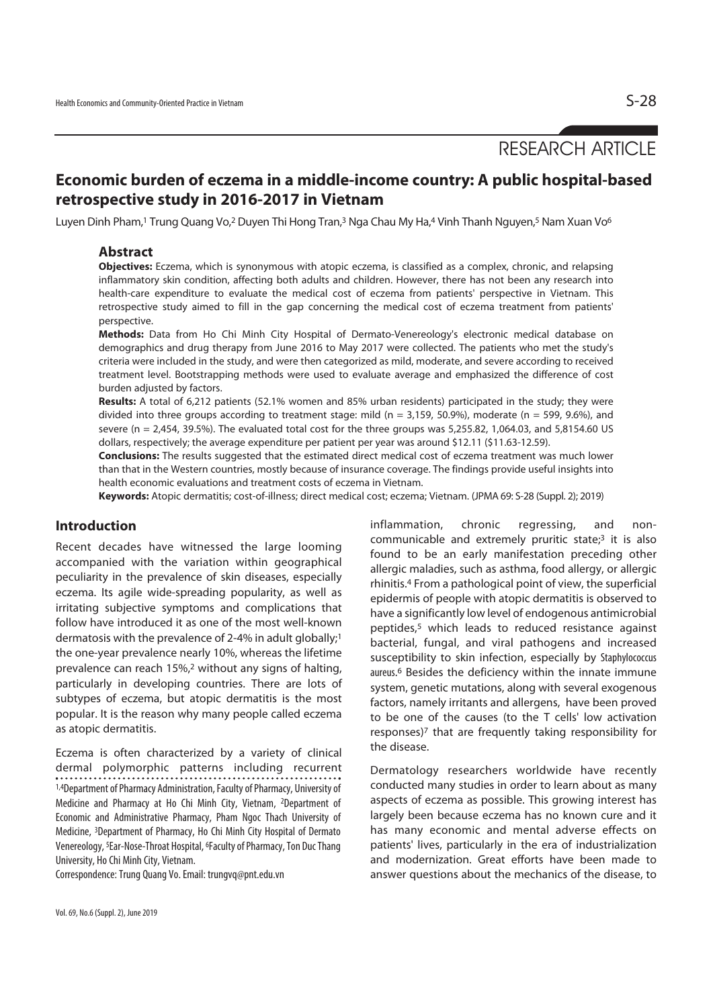# RESEARCH ARTICLE

# **Economic burden of eczema in a middle-income country: A public hospital-based retrospective study in 2016-2017 in Vietnam**

Luyen Dinh Pham,<sup>1</sup> Trung Quang Vo,<sup>2</sup> Duyen Thi Hong Tran,<sup>3</sup> Nga Chau My Ha,<sup>4</sup> Vinh Thanh Nguyen,<sup>5</sup> Nam Xuan Vo<sup>6</sup>

### **Abstract**

**Objectives:** Eczema, which is synonymous with atopic eczema, is classified as a complex, chronic, and relapsing inflammatory skin condition, affecting both adults and children. However, there has not been any research into health-care expenditure to evaluate the medical cost of eczema from patients' perspective in Vietnam. This retrospective study aimed to fill in the gap concerning the medical cost of eczema treatment from patients' perspective.

**Methods:** Data from Ho Chi Minh City Hospital of Dermato-Venereology's electronic medical database on demographics and drug therapy from June 2016 to May 2017 were collected. The patients who met the study's criteria were included in the study, and were then categorized as mild, moderate, and severe according to received treatment level. Bootstrapping methods were used to evaluate average and emphasized the difference of cost burden adjusted by factors.

**Results:** A total of 6,212 patients (52.1% women and 85% urban residents) participated in the study; they were divided into three groups according to treatment stage: mild ( $n = 3.159, 50.9\%$ ), moderate ( $n = 599, 9.6\%$ ), and severe (n = 2,454, 39.5%). The evaluated total cost for the three groups was 5,255.82, 1,064.03, and 5,8154.60 US dollars, respectively; the average expenditure per patient per year was around \$12.11 (\$11.63-12.59).

**Conclusions:** The results suggested that the estimated direct medical cost of eczema treatment was much lower than that in the Western countries, mostly because of insurance coverage. The findings provide useful insights into health economic evaluations and treatment costs of eczema in Vietnam.

**Keywords:** Atopic dermatitis; cost-of-illness; direct medical cost; eczema; Vietnam. (JPMA 69: S-28 (Suppl. 2); 2019)

### **Introduction**

Recent decades have witnessed the large looming accompanied with the variation within geographical peculiarity in the prevalence of skin diseases, especially eczema. Its agile wide-spreading popularity, as well as irritating subjective symptoms and complications that follow have introduced it as one of the most well-known dermatosis with the prevalence of 2-4% in adult globally;1 the one-year prevalence nearly 10%, whereas the lifetime prevalence can reach 15%,2 without any signs of halting, particularly in developing countries. There are lots of subtypes of eczema, but atopic dermatitis is the most popular. It is the reason why many people called eczema as atopic dermatitis.

Eczema is often characterized by a variety of clinical dermal polymorphic patterns including recurrent 1,4Department of Pharmacy Administration, Faculty of Pharmacy, University of Medicine and Pharmacy at Ho Chi Minh City, Vietnam, 2Department of Economic and Administrative Pharmacy, Pham Ngoc Thach University of Medicine, 3Department of Pharmacy, Ho Chi Minh City Hospital of Dermato Venereology, 5Ear-Nose-Throat Hospital, 6Faculty of Pharmacy, Ton Duc Thang University, Ho Chi Minh City, Vietnam.

Correspondence: Trung Quang Vo. Email: trungvq@pnt.edu.vn

inflammation, chronic regressing, and noncommunicable and extremely pruritic state;3 it is also found to be an early manifestation preceding other allergic maladies, such as asthma, food allergy, or allergic rhinitis.4 From a pathological point of view, the superficial epidermis of people with atopic dermatitis is observed to have a significantly low level of endogenous antimicrobial peptides,5 which leads to reduced resistance against bacterial, fungal, and viral pathogens and increased susceptibility to skin infection, especially by Staphylococcus aureus. 6 Besides the deficiency within the innate immune system, genetic mutations, along with several exogenous factors, namely irritants and allergens, have been proved to be one of the causes (to the T cells' low activation responses)<sup>7</sup> that are frequently taking responsibility for the disease.

Dermatology researchers worldwide have recently conducted many studies in order to learn about as many aspects of eczema as possible. This growing interest has largely been because eczema has no known cure and it has many economic and mental adverse effects on patients' lives, particularly in the era of industrialization and modernization. Great efforts have been made to answer questions about the mechanics of the disease, to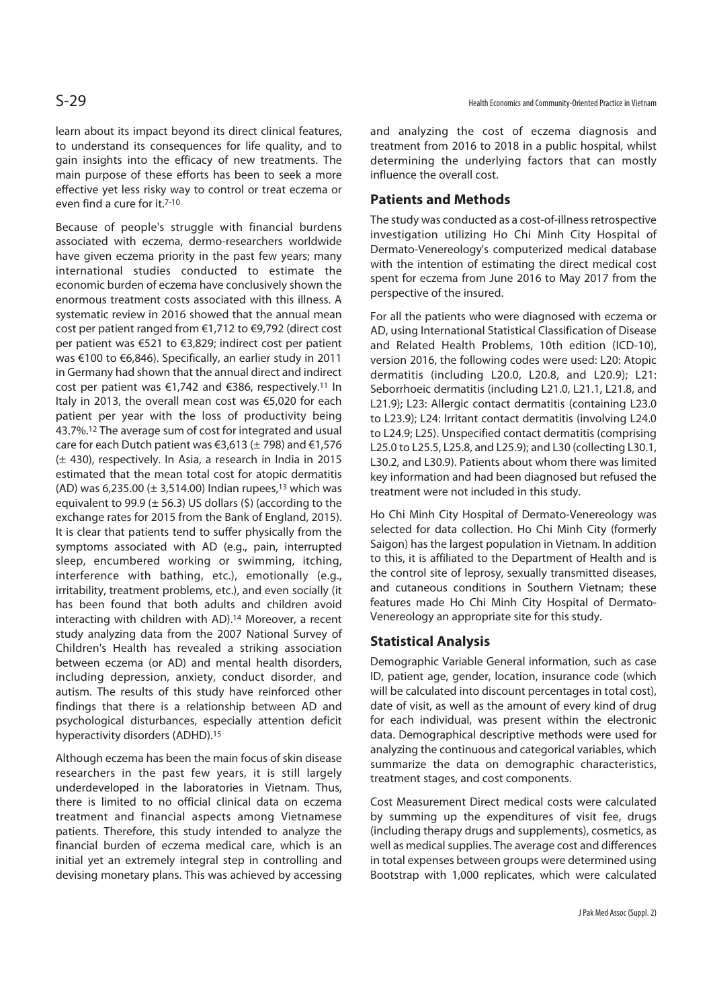learn about its impact beyond its direct clinical features, to understand its consequences for life quality, and to gain insights into the efficacy of new treatments. The main purpose of these efforts has been to seek a more effective yet less risky way to control or treat eczema or even find a cure for it.7-10

Because of people's struggle with financial burdens associated with eczema, dermo-researchers worldwide have given eczema priority in the past few years; many international studies conducted to estimate the economic burden of eczema have conclusively shown the enormous treatment costs associated with this illness. A systematic review in 2016 showed that the annual mean cost per patient ranged from €1,712 to €9,792 (direct cost per patient was €521 to €3,829; indirect cost per patient was €100 to €6,846). Specifically, an earlier study in 2011 in Germany had shown that the annual direct and indirect cost per patient was €1,742 and €386, respectively.11 In Italy in 2013, the overall mean cost was €5,020 for each patient per year with the loss of productivity being 43.7%.12 The average sum of cost for integrated and usual care for each Dutch patient was €3,613 ( $\pm$  798) and €1,576 (± 430), respectively. In Asia, a research in India in 2015 estimated that the mean total cost for atopic dermatitis (AD) was 6,235.00 ( $\pm$  3,514.00) Indian rupees,<sup>13</sup> which was equivalent to 99.9 ( $\pm$  56.3) US dollars (\$) (according to the exchange rates for 2015 from the Bank of England, 2015). It is clear that patients tend to suffer physically from the symptoms associated with AD (e.g., pain, interrupted sleep, encumbered working or swimming, itching, interference with bathing, etc.), emotionally (e.g., irritability, treatment problems, etc.), and even socially (it has been found that both adults and children avoid interacting with children with AD).14 Moreover, a recent study analyzing data from the 2007 National Survey of Children's Health has revealed a striking association between eczema (or AD) and mental health disorders, including depression, anxiety, conduct disorder, and autism. The results of this study have reinforced other findings that there is a relationship between AD and psychological disturbances, especially attention deficit hyperactivity disorders (ADHD).15

Although eczema has been the main focus of skin disease researchers in the past few years, it is still largely underdeveloped in the laboratories in Vietnam. Thus, there is limited to no official clinical data on eczema treatment and financial aspects among Vietnamese patients. Therefore, this study intended to analyze the financial burden of eczema medical care, which is an initial yet an extremely integral step in controlling and devising monetary plans. This was achieved by accessing

and analyzing the cost of eczema diagnosis and treatment from 2016 to 2018 in a public hospital, whilst determining the underlying factors that can mostly influence the overall cost.

### **Patients and Methods**

The study was conducted as a cost-of-illness retrospective investigation utilizing Ho Chi Minh City Hospital of Dermato-Venereology's computerized medical database with the intention of estimating the direct medical cost spent for eczema from June 2016 to May 2017 from the perspective of the insured.

For all the patients who were diagnosed with eczema or AD, using International Statistical Classification of Disease and Related Health Problems, 10th edition (ICD-10), version 2016, the following codes were used: L20: Atopic dermatitis (including L20.0, L20.8, and L20.9); L21: Seborrhoeic dermatitis (including L21.0, L21.1, L21.8, and L21.9); L23: Allergic contact dermatitis (containing L23.0 to L23.9); L24: Irritant contact dermatitis (involving L24.0 to L24.9; L25). Unspecified contact dermatitis (comprising L25.0 to L25.5, L25.8, and L25.9); and L30 (collecting L30.1, L30.2, and L30.9). Patients about whom there was limited key information and had been diagnosed but refused the treatment were not included in this study.

Ho Chi Minh City Hospital of Dermato-Venereology was selected for data collection. Ho Chi Minh City (formerly Saigon) has the largest population in Vietnam. In addition to this, it is affiliated to the Department of Health and is the control site of leprosy, sexually transmitted diseases, and cutaneous conditions in Southern Vietnam; these features made Ho Chi Minh City Hospital of Dermato-Venereology an appropriate site for this study.

### **Statistical Analysis**

Demographic Variable General information, such as case ID, patient age, gender, location, insurance code (which will be calculated into discount percentages in total cost), date of visit, as well as the amount of every kind of drug for each individual, was present within the electronic data. Demographical descriptive methods were used for analyzing the continuous and categorical variables, which summarize the data on demographic characteristics, treatment stages, and cost components.

Cost Measurement Direct medical costs were calculated by summing up the expenditures of visit fee, drugs (including therapy drugs and supplements), cosmetics, as well as medical supplies. The average cost and differences in total expenses between groups were determined using Bootstrap with 1,000 replicates, which were calculated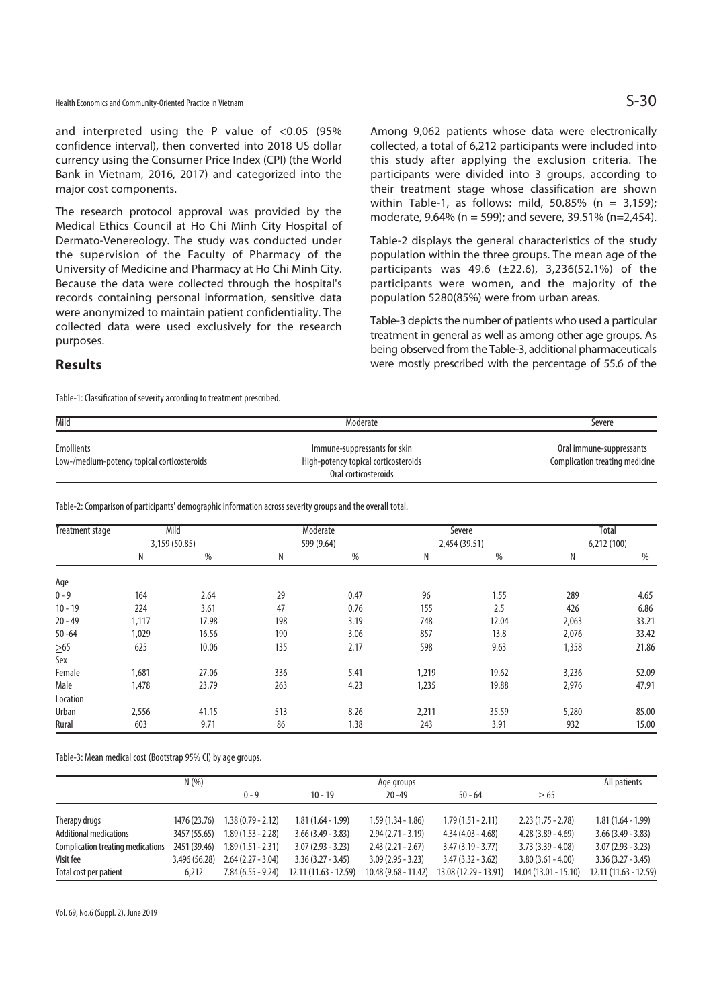and interpreted using the P value of  $< 0.05$  (95% confidence interval), then converted into 2018 US dollar currency using the Consumer Price Index (CPI) (the World Bank in Vietnam, 2016, 2017) and categorized into the major cost components.

The research protocol approval was provided by the Medical Ethics Council at Ho Chi Minh City Hospital of Dermato-Venereology. The study was conducted under the supervision of the Faculty of Pharmacy of the University of Medicine and Pharmacy at Ho Chi Minh City. Because the data were collected through the hospital's records containing personal information, sensitive data were anonymized to maintain patient confidentiality. The collected data were used exclusively for the research purposes.

Among 9,062 patients whose data were electronically collected, a total of 6,212 participants were included into this study after applying the exclusion criteria. The participants were divided into 3 groups, according to their treatment stage whose classification are shown within Table-1, as follows: mild, 50.85% ( $n = 3,159$ ); moderate, 9.64% (n = 599); and severe, 39.51% (n=2,454).

Table-2 displays the general characteristics of the study population within the three groups. The mean age of the participants was 49.6 (±22.6), 3,236(52.1%) of the participants were women, and the majority of the population 5280(85%) were from urban areas.

Table-3 depicts the number of patients who used a particular treatment in general as well as among other age groups. As being observed from the Table-3, additional pharmaceuticals were mostly prescribed with the percentage of 55.6 of the

### **Results**

Table-1: Classification of severity according to treatment prescribed.

| Mild                                                      | Moderate                                                             | Severe                                                     |  |
|-----------------------------------------------------------|----------------------------------------------------------------------|------------------------------------------------------------|--|
| Emollients<br>Low-/medium-potency topical corticosteroids | Immune-suppressants for skin<br>High-potency topical corticosteroids | Oral immune-suppressants<br>Complication treating medicine |  |
|                                                           | Oral corticosteroids                                                 |                                                            |  |

Table-2: Comparison of participants' demographic information across severity groups and the overall total.

| <b>Treatment stage</b> | Mild<br>3,159 (50.85) |       | Moderate<br>599 (9.64) |      | Severe<br>2,454 (39.51) |       | Total<br>6,212(100) |       |
|------------------------|-----------------------|-------|------------------------|------|-------------------------|-------|---------------------|-------|
|                        | N                     | %     | N                      | $\%$ | N                       | %     | N                   | %     |
| Age                    |                       |       |                        |      |                         |       |                     |       |
| $0 - 9$                | 164                   | 2.64  | 29                     | 0.47 | 96                      | 1.55  | 289                 | 4.65  |
| $10 - 19$              | 224                   | 3.61  | 47                     | 0.76 | 155                     | 2.5   | 426                 | 6.86  |
| $20 - 49$              | 1,117                 | 17.98 | 198                    | 3.19 | 748                     | 12.04 | 2,063               | 33.21 |
| $50 - 64$              | 1,029                 | 16.56 | 190                    | 3.06 | 857                     | 13.8  | 2,076               | 33.42 |
| $\geq 65$              | 625                   | 10.06 | 135                    | 2.17 | 598                     | 9.63  | 1,358               | 21.86 |
| Sex                    |                       |       |                        |      |                         |       |                     |       |
| Female                 | 1,681                 | 27.06 | 336                    | 5.41 | 1,219                   | 19.62 | 3,236               | 52.09 |
| Male                   | 1,478                 | 23.79 | 263                    | 4.23 | 1,235                   | 19.88 | 2,976               | 47.91 |
| Location               |                       |       |                        |      |                         |       |                     |       |
| <b>Urban</b>           | 2,556                 | 41.15 | 513                    | 8.26 | 2,211                   | 35.59 | 5,280               | 85.00 |
| Rural                  | 603                   | 9.71  | 86                     | 1.38 | 243                     | 3.91  | 932                 | 15.00 |

Table-3: Mean medical cost (Bootstrap 95% CI) by age groups.

|                                   | N(% )         |                     | Age groups             |                       |                       |                       | All patients          |  |
|-----------------------------------|---------------|---------------------|------------------------|-----------------------|-----------------------|-----------------------|-----------------------|--|
|                                   |               | $0 - 9$             | $10 - 19$              | $20 - 49$             | $50 - 64$             | $\geq 65$             |                       |  |
|                                   |               |                     |                        |                       |                       |                       |                       |  |
| Therapy drugs                     | 1476 (23.76)  | $1.38(0.79 - 2.12)$ | $1.81(1.64 - 1.99)$    | $1.59(1.34 - 1.86)$   | $1.79(1.51 - 2.11)$   | $2.23(1.75 - 2.78)$   | $1.81(1.64 - 1.99)$   |  |
| <b>Additional medications</b>     | 3457 (55.65)  | $1.89(1.53 - 2.28)$ | $3.66(3.49 - 3.83)$    | $2.94(2.71 - 3.19)$   | $4.34(4.03 - 4.68)$   | $4.28(3.89 - 4.69)$   | $3.66(3.49 - 3.83)$   |  |
| Complication treating medications | 2451 (39.46)  | $1.89(1.51 - 2.31)$ | $3.07(2.93 - 3.23)$    | $2.43(2.21 - 2.67)$   | $3.47(3.19 - 3.77)$   | $3.73(3.39 - 4.08)$   | $3.07(2.93 - 3.23)$   |  |
| Visit fee                         | 3,496 (56.28) | $2.64(2.27 - 3.04)$ | $3.36(3.27 - 3.45)$    | $3.09(2.95 - 3.23)$   | $3.47(3.32 - 3.62)$   | $3.80(3.61 - 4.00)$   | $3.36(3.27 - 3.45)$   |  |
| Total cost per patient            | 6.212         | $7.84(6.55 - 9.24)$ | $12.11(11.63 - 12.59)$ | $10.48(9.68 - 11.42)$ | 13.08 (12.29 - 13.91) | 14.04 (13.01 - 15.10) | 12.11 (11.63 - 12.59) |  |

Vol. 69, No.6 (Suppl. 2), June 2019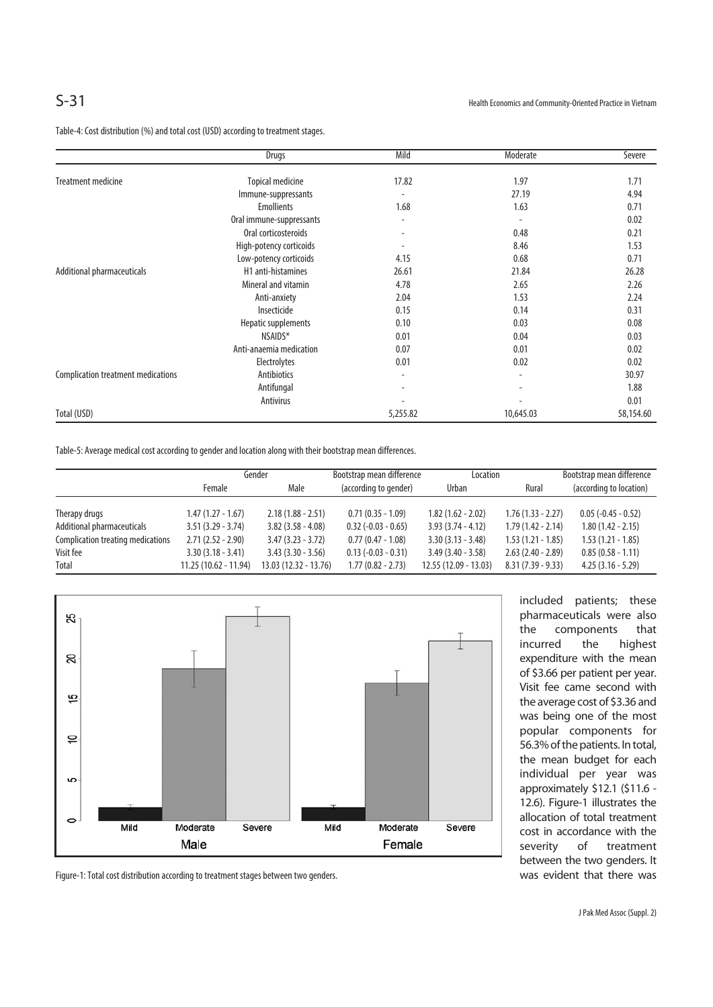Table-4: Cost distribution (%) and total cost (USD) according to treatment stages.

|                                           | Drugs                    | Mild                     | Moderate                 | Severe    |
|-------------------------------------------|--------------------------|--------------------------|--------------------------|-----------|
|                                           |                          |                          |                          |           |
| Treatment medicine                        | <b>Topical medicine</b>  | 17.82                    | 1.97                     | 1.71      |
|                                           | Immune-suppressants      |                          | 27.19                    | 4.94      |
|                                           | <b>Emollients</b>        | 1.68                     | 1.63                     | 0.71      |
|                                           | Oral immune-suppressants |                          | $\overline{\phantom{a}}$ | 0.02      |
|                                           | Oral corticosteroids     |                          | 0.48                     | 0.21      |
|                                           | High-potency corticoids  |                          | 8.46                     | 1.53      |
|                                           | Low-potency corticoids   | 4.15                     | 0.68                     | 0.71      |
| Additional pharmaceuticals                | H1 anti-histamines       | 26.61                    | 21.84                    | 26.28     |
|                                           | Mineral and vitamin      | 4.78                     | 2.65                     | 2.26      |
|                                           | Anti-anxiety             | 2.04                     | 1.53                     | 2.24      |
|                                           | Insecticide              | 0.15                     | 0.14                     | 0.31      |
|                                           | Hepatic supplements      | 0.10                     | 0.03                     | 0.08      |
|                                           | NSAIDS*                  | 0.01                     | 0.04                     | 0.03      |
|                                           | Anti-anaemia medication  | 0.07                     | 0.01                     | 0.02      |
|                                           | Electrolytes             | 0.01                     | 0.02                     | 0.02      |
| <b>Complication treatment medications</b> | Antibiotics              | $\overline{\phantom{a}}$ | ٠                        | 30.97     |
|                                           | Antifungal               |                          | $\overline{\phantom{a}}$ | 1.88      |
|                                           | Antivirus                |                          |                          | 0.01      |
| Total (USD)                               |                          | 5,255.82                 | 10,645.03                | 58,154.60 |

Table-5: Average medical cost according to gender and location along with their bootstrap mean differences.

|                                   | Gender                |                        | Bootstrap mean difference | Location              |                      | Bootstrap mean difference |  |
|-----------------------------------|-----------------------|------------------------|---------------------------|-----------------------|----------------------|---------------------------|--|
|                                   | Female                |                        | (according to gender)     | <b>Urban</b>          | Rural                | (according to location)   |  |
|                                   |                       |                        |                           |                       |                      |                           |  |
| Therapy drugs                     | $1.47(1.27 - 1.67)$   | $2.18(1.88 - 2.51)$    | $0.71(0.35 - 1.09)$       | $1.82(1.62 - 2.02)$   | $1.76(1.33 - 2.27)$  | $0.05 (-0.45 - 0.52)$     |  |
| Additional pharmaceuticals        | $3.51(3.29 - 3.74)$   | $3.82(3.58 - 4.08)$    | $0.32$ (-0.03 - 0.65)     | $3.93(3.74 - 4.12)$   | $1.79(1.42 - 2.14)$  | $1.80(1.42 - 2.15)$       |  |
| Complication treating medications | $2.71(2.52 - 2.90)$   | $3.47(3.23 - 3.72)$    | $0.77(0.47 - 1.08)$       | $3.30(3.13 - 3.48)$   | $1.53(1.21 - 1.85)$  | $1.53(1.21 - 1.85)$       |  |
| Visit fee                         | $3.30(3.18 - 3.41)$   | $3.43(3.30 - 3.56)$    | $0.13 (-0.03 - 0.31)$     | $3.49(3.40 - 3.58)$   | $2.63$ (2.40 - 2.89) | $0.85(0.58 - 1.11)$       |  |
| Total                             | 11.25 (10.62 - 11.94) | $13.03(12.32 - 13.76)$ | $1.77(0.82 - 2.73)$       | 12.55 (12.09 - 13.03) | $8.31(7.39 - 9.33)$  | $4.25(3.16 - 5.29)$       |  |



included patients; these pharmaceuticals were also the components that incurred the highest expenditure with the mean of \$3.66 per patient per year. Visit fee came second with the average cost of \$3.36 and was being one of the most popular components for 56.3% of the patients. In total, the mean budget for each individual per year was approximately \$12.1 (\$11.6 - 12.6). Figure-1 illustrates the allocation of total treatment cost in accordance with the severity of treatment between the two genders. It was evident that there was

Figure-1: Total cost distribution according to treatment stages between two genders.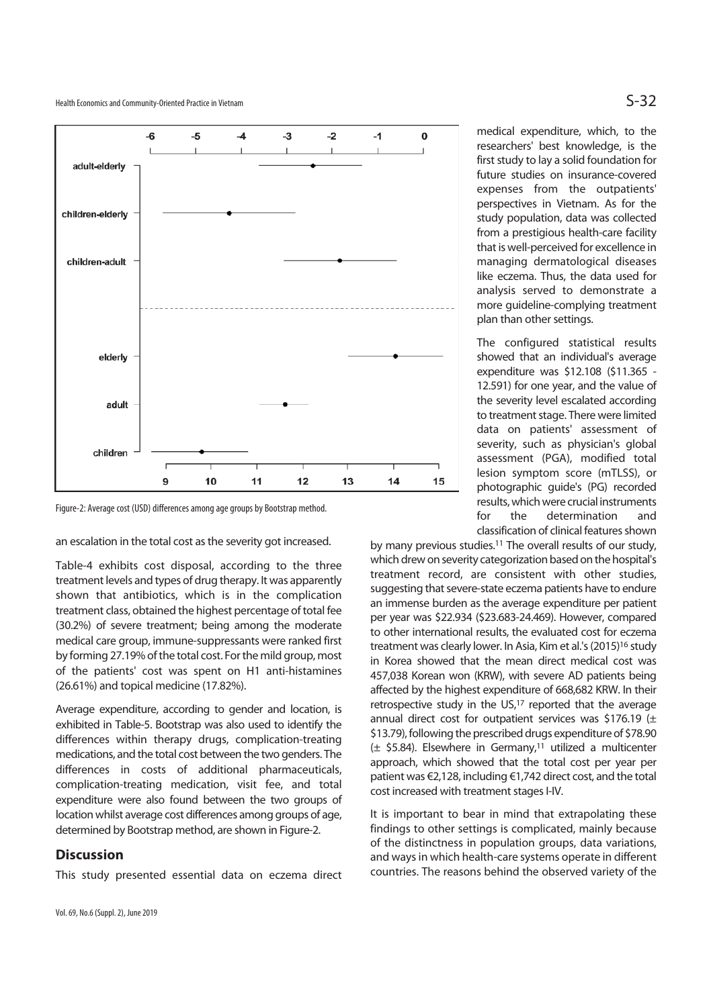Health Economics and Community-Oriented Practice in Vietnam  $S-32$ 



Figure-2: Average cost (USD) differences among age groups by Bootstrap method.

an escalation in the total cost as the severity got increased.

Table-4 exhibits cost disposal, according to the three treatment levels and types of drug therapy. It was apparently shown that antibiotics, which is in the complication treatment class, obtained the highest percentage of total fee (30.2%) of severe treatment; being among the moderate medical care group, immune-suppressants were ranked first by forming 27.19% of the total cost. For the mild group, most of the patients' cost was spent on H1 anti-histamines (26.61%) and topical medicine (17.82%).

Average expenditure, according to gender and location, is exhibited in Table-5. Bootstrap was also used to identify the differences within therapy drugs, complication-treating medications, and the total cost between the two genders. The differences in costs of additional pharmaceuticals, complication-treating medication, visit fee, and total expenditure were also found between the two groups of location whilst average cost differences among groups of age, determined by Bootstrap method, are shown in Figure-2.

### **Discussion**

This study presented essential data on eczema direct

medical expenditure, which, to the researchers' best knowledge, is the first study to lay a solid foundation for future studies on insurance-covered expenses from the outpatients' perspectives in Vietnam. As for the study population, data was collected from a prestigious health-care facility that is well-perceived for excellence in managing dermatological diseases like eczema. Thus, the data used for analysis served to demonstrate a more guideline-complying treatment plan than other settings.

The configured statistical results showed that an individual's average expenditure was \$12.108 (\$11.365 - 12.591) for one year, and the value of the severity level escalated according to treatment stage. There were limited data on patients' assessment of severity, such as physician's global assessment (PGA), modified total lesion symptom score (mTLSS), or photographic guide's (PG) recorded results, which were crucial instruments for the determination and classification of clinical features shown

by many previous studies.11 The overall results of our study, which drew on severity categorization based on the hospital's treatment record, are consistent with other studies, suggesting that severe-state eczema patients have to endure an immense burden as the average expenditure per patient per year was \$22.934 (\$23.683-24.469). However, compared to other international results, the evaluated cost for eczema treatment was clearly lower. In Asia, Kim et al.'s (2015)<sup>16</sup> study in Korea showed that the mean direct medical cost was 457,038 Korean won (KRW), with severe AD patients being affected by the highest expenditure of 668,682 KRW. In their retrospective study in the US,17 reported that the average annual direct cost for outpatient services was \$176.19 ( $\pm$ \$13.79), following the prescribed drugs expenditure of \$78.90 (± \$5.84). Elsewhere in Germany,11 utilized a multicenter approach, which showed that the total cost per year per patient was €2,128, including €1,742 direct cost, and the total cost increased with treatment stages I-IV.

It is important to bear in mind that extrapolating these findings to other settings is complicated, mainly because of the distinctness in population groups, data variations, and ways in which health-care systems operate in different countries. The reasons behind the observed variety of the